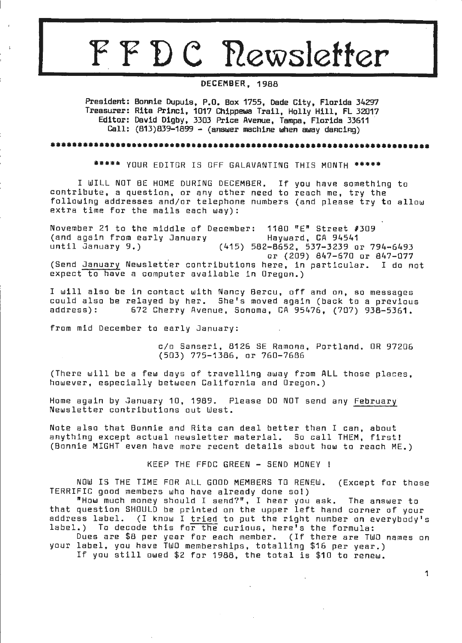# FFDC Newsletter

**DECEMBER,** 1988

President: Bonnie Dupuis, P.O. Bax 1755, Dade City, Florida 34297 Treasurer: Rita Princi, 1017 Chippewa Trail, Hally Hill, FL 32017 Editor: David Digby, 3303 Price Avenue, Tampa, Florida 33611 · Call:  $(813)839-1899 - (answer machine when away darcing)$ 

••••••••••••••••••••••••••••••••••••••••••••••••••••••••••••••••••••••

\*\*\*\*\* YOUR EDITOR IS OFF GALAVANTING THIS MONTH \*\*\*\*\*

I WILL NOT BE HOME DURING DECEMBER. If you have something to contribute, a question, or any other need to reach me, try the following addresses and/or telephone numbers (and please try to allow extra time for the mails each way):

November 21 to the middle of December : (and again from early January 1180 "E" Street #309 Hayward, CA 94541 (415) 582-8652, 537-3239 or 794-6493 or (209) 847-670 or 847-077<br>ere, in particular. I do not (Send January Newsletter contributions here, in particular. expect to have a computer available in Oregon.)

I will also be in contact with Nancy Bercu, off and on, so messages could also be relayed by her. She's moved again (back to a previous 672 Cherry Avenue, Sonoma, CA 95476, (707) 938-5361.

from mid December to early January:

c/o Sanseri, 8126 SE Ramona, Portland. OR 97206 (503) ??5-1386, or 760-7686

(There will be a few days of travelling away from ALL those places, however, especially between California and Oregon.)

Home again by January 10, 1989. Please DO NOT send any February Newsletter contributions out West.

Note also that Bonnie and Rita can deal better than I can, about <sup>a</sup> nything except actual newsletter material. So call THEM, first! (Bonnie MIGHT even have more recent details about how to reach ME.)

KEEP THE FFDC GREEN - SEND MONEY !

NOW IS THE TIME FOR ALL GOOD MEMBERS TO RENEW. (Except for those TERRIFIC good members who have already done so!)

"How much mo ney should I send?", I hear you ask. The a nswer to that question SHOULD be printed on the upper left hand corner of your and gecovien shoots be princed on the apper fort hand correct or your<br>address label. (I know I <u>tr</u>ied to put the right number on everybody's dadicoo idaci. (i khow i <u>citta</u> to put the right hamber on e<br>label.) To decode this fo<del>r the</del> curious, here's the formula:

Dues are \$8 per year for each member. (If there are TWO names on your label, you have TWO memberships, totalling \$16 per year.) If you still owed \$2 for 1988, the total is \$10 to renew.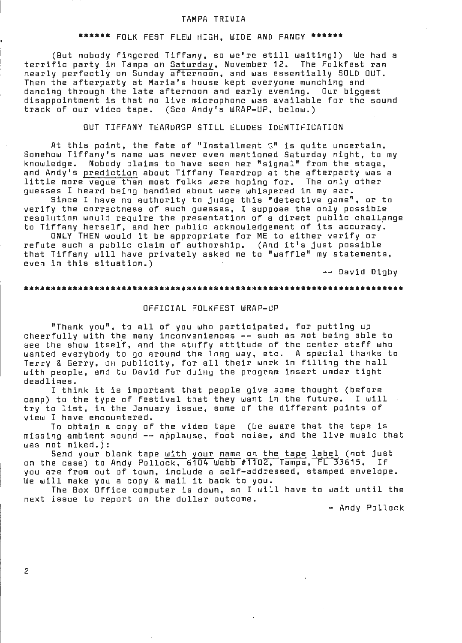#### TAMPA TRIVIA

#### \*\*\*\*\*\* FOLK FEST FLEW HIGH, WIDE **AND FANCY\*\*\*\*\*\***

(But nobody fingered Tiffany, so we're still waiting!) We had a terrific party in Tampa on Saturday, November 12. The Folkfest ran nearly perfectly an Sunday afternoon, and was essentially SOLD OUT. Then the afterparty at Maria's house kept everyone munching and dancing through the late afternoon and early evening. Dur biggest disappointment is that no live microphone was available for the sound track of our video tape. (See Andy's WRAP-UP, below.)

#### BUT TIFFANY TEARDROP STILL ELUDES IDENTIFICATION

At this point, the fate of "Installment O" is quite uncertain. Somehow Tiffany's name was never even mentioned Saturday night, ta my knowledge. Nobody claims to have seen her "signal" from the stage, and Andy's prediction about Tiffany Teardrop at the afterparty was a<br>little more vaque than most folks were hoping for. The only other little more vague than most folks were hoping for. guesses I heard being bandied about were whispered in my ear.

Since I have no authority to judge this "detective game", or to verify the correctness of such guesses, I suppose the only possible verify the correcthess of assh gaesses, i suppose the shig passible<br>resolution would require the presentation of a direct public challange to Tiffany herself, and her public acknowledgement of its accuracy.

ONLY THEN would it be appropriate far ME to either verify or refute such a public claim of authorship. (And it's just possible that Tiffany will have privately asked me ta "waffle" my statements, even in this situation.)<br>even in this situation.) -- David Digby

#### \*\*\*\*\*\*\*\*\*\*\*\*\*\*\*\*\*\*\*\*\*\*\*\*\*\*\*\*\*\* \*\*\*\*\*\*\*\*\*\*\*\*\*\*\*\*\*\*\*\*

#### OFFICIAL FOLKFEST WRAP-UP

"Thank you", to all of you who participated, for putting up cheerfully with the many inconveniences -- such as not being able to see the show itself, and the stuffy attitude of the center staff who wanted everybody to go around the long way, etc. A special thanks to Terry & Gerry, on publicity, for all their work in filling the hall with people, and to David for doing the program insert under tight deadlines.

I think it is important that people give some thought (before camp) to the type of festival that they want in the future. I will try to list, in the January issue, some of the different points of view I have encountered.

To obtain a copy of the video tape (be aware that the tape is missing ambient sound -- applause, foot noise, and the live music that was not miked.):

s. mikeu.).<br>Send your blank tape <u>with your name on the tape label</u> (not just<br>e case) to Andy Pollock, 6104 Webb #1102, Tampa, FL 33615. If on the case) to Andy Pollock, 6104 Webb #1102, Tampa, FL 33615. If you are from out of town, include a self-addressed, stamped envelope. We will make you a copy & mail it back to you.

The Box Office computer is dawn, so I will have to wait until the next issue to report on the dollar outcome.<br>- Andy Pollock –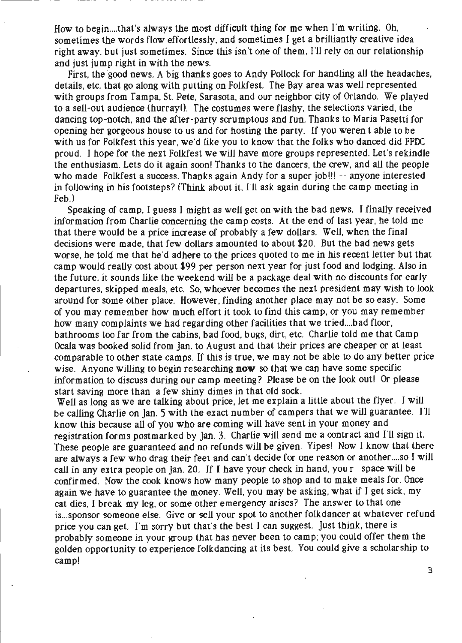How to begin .... that's always the most difficult thing for me when I'm writing. Oh, sometimes the words flow effortlessly, and sometimes I get a brilliantly creative idea right away, but just sometimes. Since this isn't one of them, I'll rely on our relationship and just jump right in with the news.

First, the good news. A big thanks goes to Andy Pollock for handling all the headaches, details, etc. that go along with putting on Folkfest. The Bay area was well represented with groups from Tampa, St. Pete, Sarasota, and our neighbor city of Orlando. We played to a sell-out audience (hurray!). The costumes were flashy, the selections varied, the dancing top-notch, and the after-party scrumptous and fun. Thanks to Maria Pasetti for opening her gorgeous house to us and for hosting the party. If you weren't able to be with us for Folkfest this year, we'd like you to know that the folks who danced did FFDC proud. I hope for the next Folkfest we will have more groups represented. Let's rekindle the enthusiasm. Lets do it again soon! Thanks to the dancers, the crew, and all the people who made Folkfest a success. Thanks again Andy for a super job!!! -- anyone interested in following in his footsteps? (Think about it, I'll ask again during the camp meeting in Feb.)

Speaking of camp, I guess I might as well get on with the bad news. I finally received information from Charlie concerning the camp costs. At the end of last year, he told me that there would be a price increase of probably a few dollars. Well, when the final decisions were made, that few dollars amounted to about \$20. But the bad news gets worse, he told me that he'd adhere to the prices quoted to me in his recent letter but that camp would really cost about \$99 per person next year for just food and lodging. Also in the future, it sounds like the weekend will be a package deal with no discounts for early departures, skipped meals, etc. So, whoever becomes the next president may wish to look around for some other place. However, finding another place may not be so easy. Some of you may remember how \_much effort it took to find this camp, or you may remember how many complaints we had regarding other facilities that we tried....bad floor, bathrooms too far from the cabins, bad food, bugs, dirt, etc. Charlie told me that Camp Ocala was booked solid from Jan. to August and that their prices are cheaper or at least comparable to other state camps. If this is true, we may not be able to do any better price wise. Anyone willing to begin researching **now** so that we can have some specific information to discuss during our camp meeting? Please be on the look out! Or please start saving more than a few shiny dimes in that old sock.

Well as long as we are talking about price, let me explain a little about the flyer. I will be caHing Charlie on Jan. 5 with the exact number of campers that we will guarantee. I'll know this because all of you who are coming will have sent in your money and registration forms postmarked by Jan. 3. Charlie will send me a contract and I'll sign it. These people are guaranteed and no refunds will be given. Yipes! Now I know that there are always a few who drag their feet and can't decide for one reason or another .... so I will call in any extra people on Jan. 20. If I have your check in hand, your space will be confirmed. Now the cook knows how many people to shop and to make meals for. Once again we have to guarantee the money. Well, you may be asking, what if I get sick, my cat dies, I break my leg, or some other emergency arises? The answer to that one is ... sponsor someone else. Give or sell your spot to another folkdancer at whatever refund price you can get. I'm sorry but that's the best I can suggest. Just think, there is probably someone in your group that has never been to camp; you could offer them the golden opportunity to experience folkdancing at its best. You could give a scholarship to camp!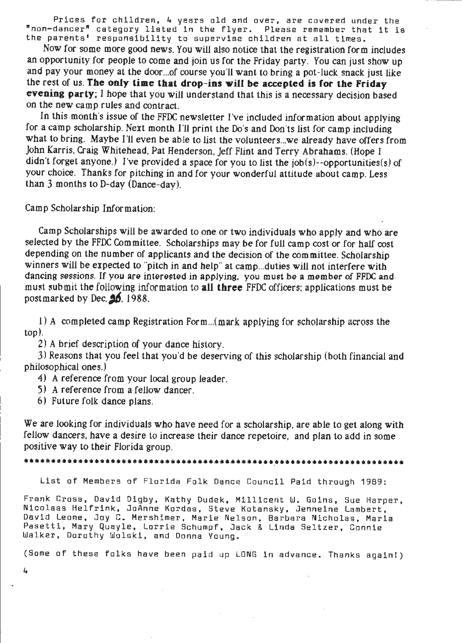Prices for children, 4 years old and over, are covered under the "non-dancer" category listed in the flyer. Please remember that it is the parents' responsibility to supervise children at all times.

Now for some more good news. You will also notice that the registration form includes an opportunity for people to come and join us for the Friday party. You can just show up and pay your money at the door... of course you'll want to bring a pot-luck snack just like the rest of us. **The only time that drop-ins wiU be accepted is for the Friday evening party:** I hope that you will understand that this is a necessary decision based on the new camp rules and contract.

In this month's issue of the FFDC newsletter I've included information about applying for a camp scholarship. Next month I'll print the Do's and Don'ts list for camp including what to bring. Maybe I'll even be able to list the volunteers... we already have offers from John Karris, Craig Whitehead, Pat Henderson, Jeff Flint and Terry Abrahams. (Hope I didn't forget anyone.) I've provided a space for you to list the job(s)--opportunities(s) of your choice. Thanks for pitching in and for your wonderful attitude about camp. Less than 3 months to D-day (Dance-day).

Camp Scholarship Information:

Camp Scholarships will be awarded to one or two individuals who apply and who are selected by the FFOC Committee. Scholarships may be for full camp cost or for half cost depending on the number of applicants and the decision of the committee. Scholarship winners will be expected to "pitch in and help" at camp... duties will not interfere with dancing sessions. If you are interested in applying, you must be a member of FFDC and must submit the following information to **all three** FFDC officers: applications must be postmarked by Dec.  $\mathbf{26}$ , 1988.

l) A completed camp Registration Form ... (mark applying for scholarship across the top).

2) A brief description of your dance history.

3) Reasons that you feel that you'd be deserving of this scholarship (both financial and philosophical ones.)

4) A reference from your local group leader.

5) A reference from a fellow dancer.

6) Future folk dance plans.

We are looking for individuals who have need for a scholarship, are able to get along with fellow dancers, have a desire to increase their dance repetoire, and plan to add in some positive way to their Florida group.

List of Members of Florida Folk Dance Council Paid through 1989:

Frank Cross, David Digby, Kathy Dudek, Millicent W. Goins, Sue Harper, Nicolaas Helfrink, JoAnne Kordas, Steve Kotansky, Jenneine Lambert, David Leone, Joy C. Mershimer, Marie Nelson, Barbara Nicholas, Maria Pasetti, **Mary** Quayle, Lorrie Schumpf, Jack & Linda Seltzer, Connie Walker, Dorothy Wolski, and Donna Young.

(Some of these folks have been paid up LONG in advance. Thanks again!)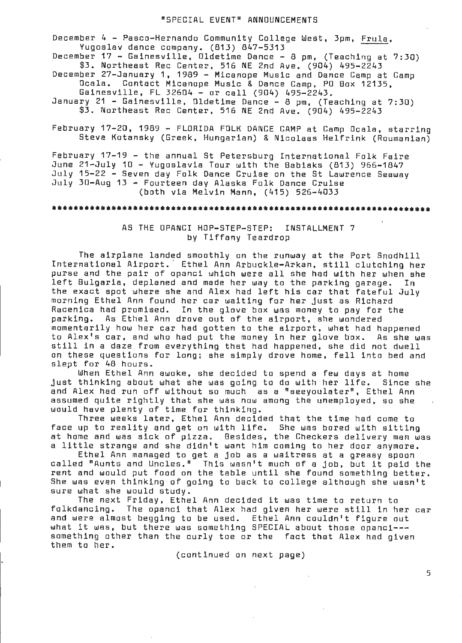#### "SPECIAL EVENT" **ANNOUNCEMENTS**

December 4 - Pasco-Hernando Community College West, 3pm, Frula, Yugoslav dance company. (B13) B47-5313

December 17 - Gainesville, Dldetime Dance - 8 pm, (Teaching at 7:30) \$3. Nprtheast Rec Center, 516 NE 2nd Ave. (904) 495-2243

December 27-January 1, 19B9 - Micanope Music and Dance Camp at Camp Ocala. Contact Micanope Music & Dance Camp, PO Box 12135, Gainesville, FL 32604 - or call (904) 495-2243.

January 21 - Gainesville, Dldetime Dance - B pm, (Teaching at 7:30) \$3. Northeast Rec Center, 516 NE 2nd Ave. (904) 495-2243

February 17-20, 19B9 - FLORIDA FOLK DANCE CAMP at Camp Ocala, starring Steve Kotansky (Greek, Hungarian) & Nicolaas Helfrink (Roumanian)

February 17-19 - the annual St Petersburg International Folk Faire June 21-July 10 - Yugoslavia Tour with the Babiaks (B13) 966-1B47 July 15-22 - Seven day Folk Dance Cruise on the St Lawrence Seaway July 30-Aug 13 - Fourteen day Alaska Folk Dance Cruise (both via Melvin Mann, (415) 526-4033

#### \*\*\*\*\*\*\*\*\*\*\*\*\*\*\*\*\*\*\*\*\*\*\*\*\*\*\*\* \*\*\*\*\*\*\*\*\*\*\*\*\*\*\*

### AS THE OPANCI HOP-STEP-STEP: INSTALLMENT 7 by Tiffany Teardrop

The airplane landed smoothly on the runway at the Port Snodhill International Airport. Ethel Ann Arbuckle-Arkan, still clutching her purse and the pair of panel which were all she had with her when she left Bulgaria, deplaned and made her way to the parking garage. In the exact spot where she and Alex had left his car that fateful July morning Ethel Ann found her car waiting for her just as Richard Racenica had promised. In the glove box was money to pay for the<br>parking, As Ethel Ann drove out of the airport, she wondered As Ethel Ann drove out of the airport, she wondered momentarily how her car had gotten to the airport, what had happened to Alex's car, and who had put the money in her glove box. still in a daze from everything that had happened, she did not dwell on these questions for long; she simply drove home, fell into bed and slept for 4B hours.

When Ethel Ann awoke, she decided to spend a few days at home just thinking about what she was going to do with her life. Since she and Alex had run off without so much as a "seeyoulater", Ethel Ann assumed quite rightly that she was now among the unemployed, so she would have plenty of time for thinking.

Three weeks later, Ethel Ann decided that the time had come to face up to reality and get on with life. She was bored with sitting at home and was sick of pizza. Besides, the Checkers delivery man was at nome and was sick of pizza. Besides, the checkers delivery man w<br>a little strange and she didn't want him coming to her door anymore.

Ethel Ann managed to get a job as a waitress at a greasy spoon called "Aunts a nd Uncles." This wasn't much of a job, but it paid the rent and would put food on the table until she found something better.<br>She was even thinking of going to back to college although she wasn't sure what she would study.

The next Friday, Ethel Ann decided it was time to return to folkdancing. The opanci that Alex had given her were still in her car and were almost begging to be used. Ethel Ann couldn't figure out what it was, but there was something SPECIAL about those opanci--something other than the curly toe or the fact that Alex had given them to her.

(continued on next page)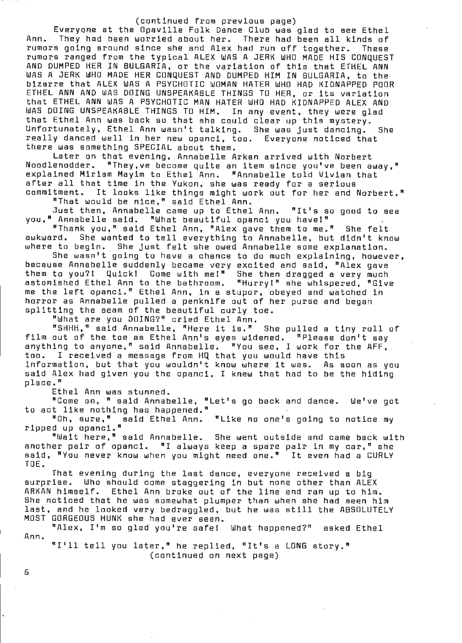#### (continued from previous page)

Everyone at the Opaville Folk Dance Club was glad to see Ethel Ann. They had been worried about her. There had been all kinds of rumors going around since she and Alex had run off together. These rumors going sround since she and Alex had run off together. These<br>rumors ranged from the typical ALEX WAS A JERK WHO MADE HIS CONQUEST AND DUMPED HER IN BULGARIA, or the variation of this that ETHEL ANN WAS A JERK WHO MADE HER CONQUEST AND DUMPED HIM IN BULGARIA, to the bizarre that ALEX WAS A PSYCHOTIC WOMAN HATER WHO HAD KIDNAPPED POOR ETHEL ANN AND WAS DOING UNSPEAKABLE THINGS TO HER, or its variation that ETHEL ANN WAS A PSYCHOTIC MAN HATER WHO HAD KIDNAPPED ALEX AND WAS DOING UNSPEAKABLE THINGS TO **HIM.** In any event, they were glad that Ethel Ann was back so that she could clear up this mystery. Unfortunately, Ethel Ann wasn't talking. She was just dancing. She really danced well in her new opanci, too. Everyone noticed that there was something SPECIAL about them.

Later on that evening, Annabelle Arkan arrived with Norbert "They, ve become quite an item since you've been away," explained Miriam Mayim to Ethel Ann. "Annabelle told Vivian that after all that time in the Yukon, she was ready for a serious commitment. It looks like things might work out for her and Norbert."

"That would be nice," said Ethel Ann.

Just then, Annabelle came up to Ethel Ann. "It's so good to see you," Annabelle said. "What beautiful panel you have!"

"Thank you," said Ethel Ann, "Alex gave them to me." She felt<br>awkward. She wanted to tell everything to Annabelle. but didn't kn She wanted to tell everything to Annabelle, but didn't know where to begin. She just felt she owed Annabelle some explanation. She wasn't going to have a chance to do much explaining, however,

because Annabelle suddenly became very excited and said, "Alex gave them to you?! Quick! Come with me!" She then dragged a very much astonished Ethel Ann to the bathroom. "Hurry!" she whispered, "Give me the left panel." Ethel Ann, in a stupor, obeyed and watched in horror as Annabelle pulled a penknife out of her purse and began splitting the seam of the beautiful curly toe.

"What are you DOING?" cried Ethel Ann.

"SHHH," said Annabelle, "Here it is." She pulled a tiny roll of film out of the toe as Ethel Ann's eyes widened. "Please don't say anything to anyone," said Annabelle. "You see, I work for the AFF, too. I received a message from HQ that you would have this information, but that you wouldn't know where it was. As soon as you said Alex had given you the opanci, I knew that had to be the hiding place."

Ethel Ann was stunned.

"Come on, "said Annabelle, "Let's go back and dance. We've got to act **like** nothing has happened."

"Oh, sure," said Ethel Ann. "Like no one's going to notice my ripped up opanci."

"Wait here," said Annabelle. She went outside and came back with another pair of opanci. "I always keep a spare pair in my car," she said, "You never know when you might need one." It even had a CURLY TOE.

That evening during the last dance, everyone received a big surprise. Who should come staggering in but none other than ALEX ARKAN himself. Ethel Ann broke out of the line and ran up to him . She noticed that he was somewhat plumper than when she had seen him ane muticeu that he was somewhat plumper than when she had seen him<br>last, and he looked very bedraggled, but he was still the ABSOLUTELY MOST GORGEOUS HUNK she had ever seen.

Ann. **"Alex,** I'm so glad you're safe! What happened?" asked Ethel

"I'll tell you later," he replied, "It's a LONG story." (continued on next page)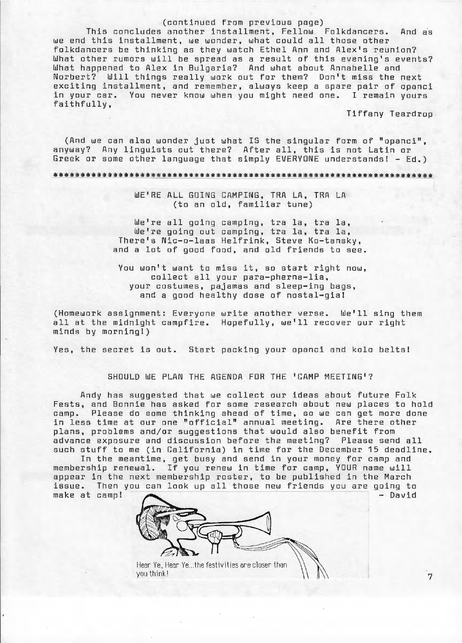#### (continued from previous page)

This concludes another installment, Fellow Folkdancers. And as we end this installment, we wonder, what could all those other folkdancers be thinking as they watch Ethel Ann and Alex's reunion? What other rumors will be spread as a result of this evening's events? What happened to Alex in Bulgaria? And what about Annabelle and Norbert? Will things really work out for them? Don't miss the next exciting installment, and remember, always keep a spare pair of opanci in your car. You never know when you might need one. I remain yours faithfully,

Tiffany Teardrop

(And we can also wonder just what IS the singular form of "opanci", anyway? Any linguists out there? After all, this is not Latin or Greek or some other language that simply EVERYONE understands! - Ed.)

## WE'RE ALL GOING CAMPING, TRA LA, TRA LA (to an old, familiar tune)

We're all going camping, tra la, tra la, We're going out camping, tra la, tra la, There's Nic-o-laas Helfrink, Steve Ko-tansky, and a lot of good food, and old friends to see.

You won't want to miss it, so start right now, collect all your para-pherna-lia, your costumes, pajamas and sleep-ing bags, and a good healthy dose of nostal-gia!

(Homework assignment: Everyone write another verse. We'll sing them all at the midnight campfire. Hopefully, we'll recover our right minds by morning!)

Yes, the secret is out. Start packing your opanci and kolo belts!

#### SHOULD WE PLAN THE AGENDA FOR THE 'CAMP MEETING'?

Andy has suggested that we collect our ideas about future Folk Fests, and Bonnie has asked for some research about new places to hold camp. Please do some thinking ahead of time, so we can get more done in less time at our one "official" annual meeting. Are there other plans, problems and/or suggestions that would also benefit from advance exposure and discussion before the meeting? Please send all such stuff to me (in California) in time for the December 15 deadline.

In the meantime, get busy and send in your money for camp and membership renewal. If you renew in time for camp, YOUR name will appear in the next membership roster, to be published in the March issue. Then you can look up all those new friends you are going to make at camp! ------- - - David



Hear Ye, Hear Ye...the festivities are closer than  $\bigwedge_{\mathbf{y}}\bigwedge_{\mathbf{y}}$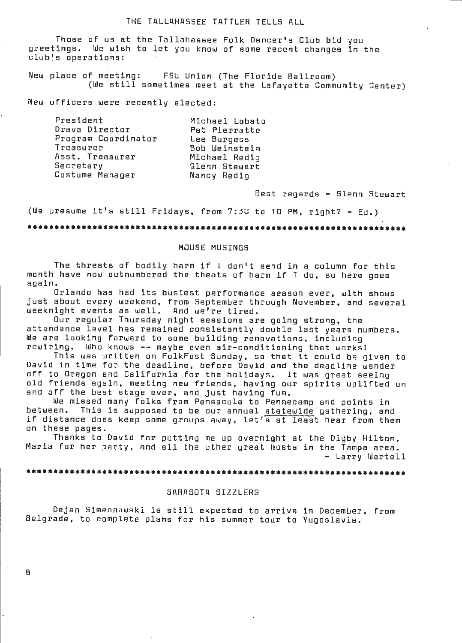#### THE TALLAHASSEE TATTLER TELLS ALL

Those of us at the Tallahassee Folk Dancer's Club bid you<br>greetings, We wish to let you know of some recent changes in f We wish to let you know of some recent changes in the club's operations:

New place of meeting: FSU Union (The Florida Ballroom) (We still sometimes meet at the Lafayette Community Center)

New officers were recently elected:

| President                  | Michael Lobato |
|----------------------------|----------------|
| Drava Director             | Pat Pierratte  |
| Program Coordinator        | Lee Burgess    |
| Treasurer                  | Bob Weinstein  |
| Asst. Treasurer            | Michael Redig  |
| Secretary                  | Glenn Stewart  |
| Costume Manager<br>$\cdot$ | Nancy Redig    |

Best regards - Glenn Stewart

(We presume it's still Fridays, from 7:30 to 10 PM, right? - Ed.)

# MOUSE **MUSINGS**

The threats of bodily harm if I don't send in a column for this month have now outnumbered the theats of harm if I do, so here goes again.

Orlando has had its busiest performance season ever, with shows just about every weekend, from September through November, and several weeknight events as well. And we're tired.

Dur regular Thursday night sessions are going strong, the attendance level has remained conslstantly double last years numbers. We are looking forward to some building renovations, including rewiring. Who knows -- maybe even air-conditioning that works!

This was written on FolkFest Sunday, so that it could be given to David in time for the deadline, before David and the deadline wander off to Oregon and California for the holidays. It was great seeing old friends again, meeting new friends, having our spirits uplifted on and off the best stage ever, and just having fun.

We missed many folks from Pensacola to Pennecamp and paints in between. This is supposed to be our annual statewide gathering, and if distance does keep some groups away, let's at least hear from them on these pages.

Thanks to David for putting me up overnight at the Digby Hilton, Maria for her party, and all the other great hosts in the Tampa area. - Larry Wartell

### 

#### SARASOTA SIZZLERS

Dejan Simeonowski is still expected to arrive in December, from Belgrade, to complete plans for his summer tour to Yugoslavia.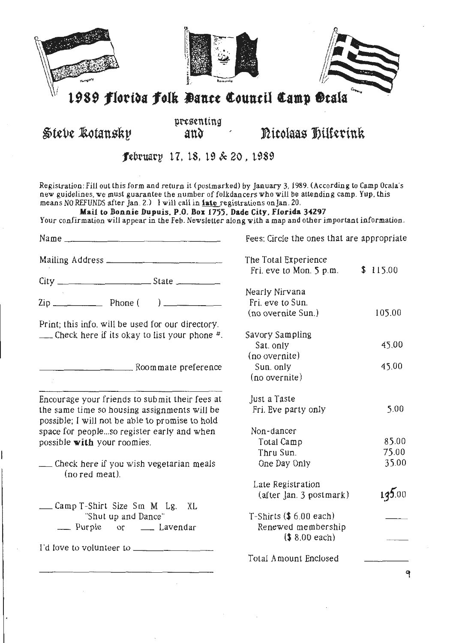